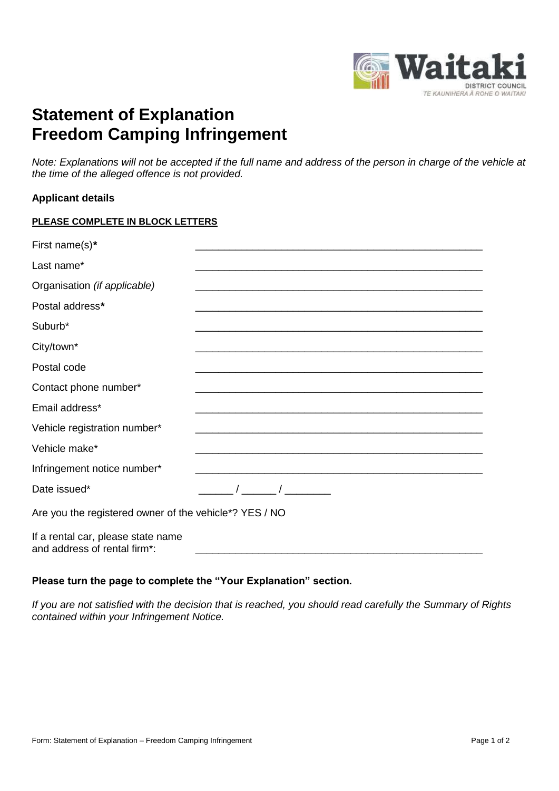

## **Statement of Explanation Freedom Camping Infringement**

*Note: Explanations will not be accepted if the full name and address of the person in charge of the vehicle at the time of the alleged offence is not provided.*

## **Applicant details**

|  | PLEASE COMPLETE IN BLOCK LETTERS |  |
|--|----------------------------------|--|
|  |                                  |  |

| First name(s)*                                                     |                                                                                                                                                                                                                                                                                                                     |  |
|--------------------------------------------------------------------|---------------------------------------------------------------------------------------------------------------------------------------------------------------------------------------------------------------------------------------------------------------------------------------------------------------------|--|
| Last name*                                                         |                                                                                                                                                                                                                                                                                                                     |  |
| Organisation (if applicable)                                       |                                                                                                                                                                                                                                                                                                                     |  |
| Postal address*                                                    |                                                                                                                                                                                                                                                                                                                     |  |
| Suburb*                                                            |                                                                                                                                                                                                                                                                                                                     |  |
| City/town*                                                         |                                                                                                                                                                                                                                                                                                                     |  |
| Postal code                                                        |                                                                                                                                                                                                                                                                                                                     |  |
| Contact phone number*                                              |                                                                                                                                                                                                                                                                                                                     |  |
| Email address*                                                     |                                                                                                                                                                                                                                                                                                                     |  |
| Vehicle registration number*                                       |                                                                                                                                                                                                                                                                                                                     |  |
| Vehicle make*                                                      | <u> 1989 - Johann Stein, mars an deutscher Stein und der Stein und der Stein und der Stein und der Stein und der</u>                                                                                                                                                                                                |  |
| Infringement notice number*                                        |                                                                                                                                                                                                                                                                                                                     |  |
| Date issued*                                                       | $\frac{1}{2}$ $\frac{1}{2}$ $\frac{1}{2}$ $\frac{1}{2}$ $\frac{1}{2}$ $\frac{1}{2}$ $\frac{1}{2}$ $\frac{1}{2}$ $\frac{1}{2}$ $\frac{1}{2}$ $\frac{1}{2}$ $\frac{1}{2}$ $\frac{1}{2}$ $\frac{1}{2}$ $\frac{1}{2}$ $\frac{1}{2}$ $\frac{1}{2}$ $\frac{1}{2}$ $\frac{1}{2}$ $\frac{1}{2}$ $\frac{1}{2}$ $\frac{1}{2}$ |  |
| Are you the registered owner of the vehicle*? YES / NO             |                                                                                                                                                                                                                                                                                                                     |  |
| If a rental car, please state name<br>and address of rental firm*: |                                                                                                                                                                                                                                                                                                                     |  |

## **Please turn the page to complete the "Your Explanation" section.**

*If you are not satisfied with the decision that is reached, you should read carefully the Summary of Rights contained within your Infringement Notice.*